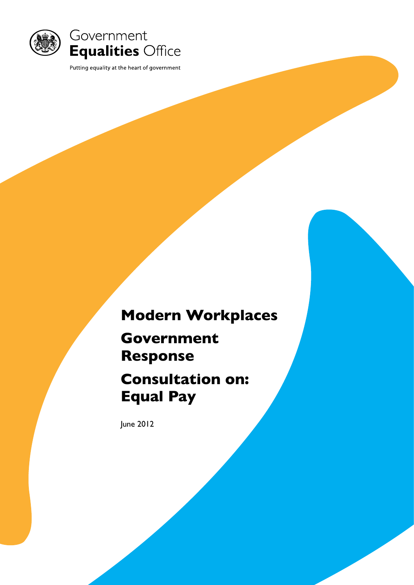

Putting equality at the heart of government

### **Modern Workplaces Government Response Consultation on: Equal Pay**

June 2012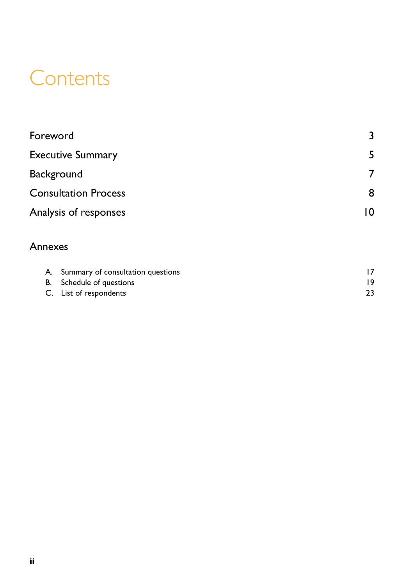### **Contents**

| Foreword                    | 3  |
|-----------------------------|----|
| <b>Executive Summary</b>    | 5  |
| <b>Background</b>           |    |
| <b>Consultation Process</b> | 8  |
| Analysis of responses       | 10 |

### Annexes

| A. Summary of consultation questions |  |
|--------------------------------------|--|
| B. Schedule of questions             |  |
| C. List of respondents               |  |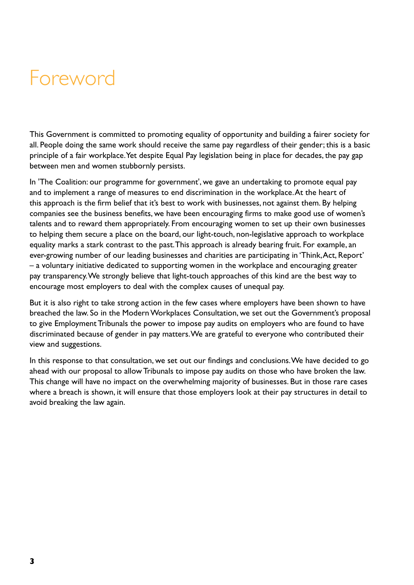### Foreword

This Government is committed to promoting equality of opportunity and building a fairer society for all. People doing the same work should receive the same pay regardless of their gender; this is a basic principle of a fair workplace. Yet despite Equal Pay legislation being in place for decades, the pay gap between men and women stubbornly persists.

In 'The Coalition: our programme for government', we gave an undertaking to promote equal pay and to implement a range of measures to end discrimination in the workplace. At the heart of this approach is the firm belief that it's best to work with businesses, not against them. By helping companies see the business benefits, we have been encouraging firms to make good use of women's talents and to reward them appropriately. From encouraging women to set up their own businesses to helping them secure a place on the board, our light-touch, non-legislative approach to workplace equality marks a stark contrast to the past. This approach is already bearing fruit. For example, an ever-growing number of our leading businesses and charities are participating in 'Think, Act, Report' – a voluntary initiative dedicated to supporting women in the workplace and encouraging greater pay transparency. We strongly believe that light-touch approaches of this kind are the best way to encourage most employers to deal with the complex causes of unequal pay.

But it is also right to take strong action in the few cases where employers have been shown to have breached the law. So in the Modern Workplaces Consultation, we set out the Government's proposal to give Employment Tribunals the power to impose pay audits on employers who are found to have discriminated because of gender in pay matters. We are grateful to everyone who contributed their view and suggestions.

In this response to that consultation, we set out our findings and conclusions. We have decided to go ahead with our proposal to allow Tribunals to impose pay audits on those who have broken the law. This change will have no impact on the overwhelming majority of businesses. But in those rare cases where a breach is shown, it will ensure that those employers look at their pay structures in detail to avoid breaking the law again.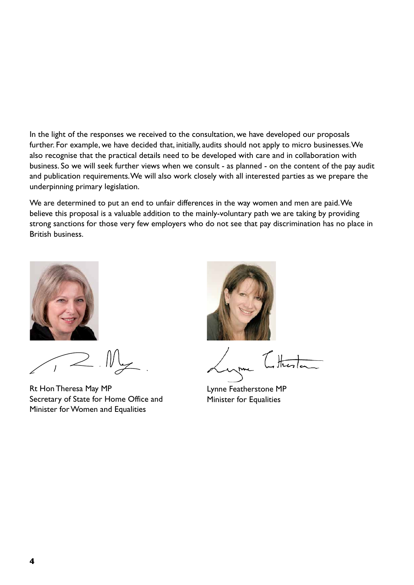In the light of the responses we received to the consultation, we have developed our proposals further. For example, we have decided that, initially, audits should not apply to micro businesses. We also recognise that the practical details need to be developed with care and in collaboration with business. So we will seek further views when we consult - as planned - on the content of the pay audit and publication requirements. We will also work closely with all interested parties as we prepare the underpinning primary legislation.

We are determined to put an end to unfair differences in the way women and men are paid. We believe this proposal is a valuable addition to the mainly-voluntary path we are taking by providing strong sanctions for those very few employers who do not see that pay discrimination has no place in British business.



Rt Hon Theresa May MP Secretary of State for Home Office and Minister for Women and Equalities



Lynne Featherstone MP Minister for Equalities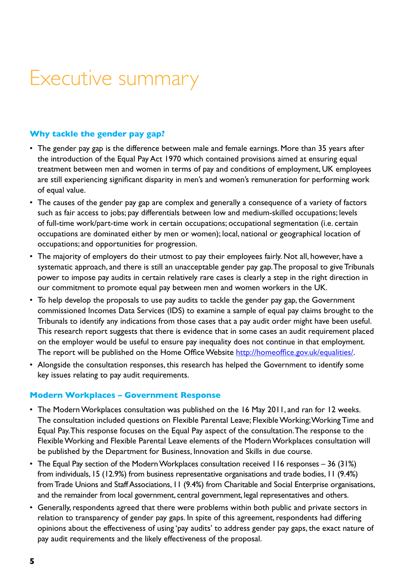### Executive summary

#### **Why tackle the gender pay gap?**

- The gender pay gap is the difference between male and female earnings. More than 35 years after the introduction of the Equal Pay Act 1970 which contained provisions aimed at ensuring equal treatment between men and women in terms of pay and conditions of employment, UK employees are still experiencing significant disparity in men's and women's remuneration for performing work of equal value.
- The causes of the gender pay gap are complex and generally a consequence of a variety of factors such as fair access to jobs; pay differentials between low and medium-skilled occupations; levels of full-time work/part-time work in certain occupations; occupational segmentation (i.e. certain occupations are dominated either by men or women); local, national or geographical location of occupations; and opportunities for progression.
- The majority of employers do their utmost to pay their employees fairly. Not all, however, have a systematic approach, and there is still an unacceptable gender pay gap. The proposal to give Tribunals power to impose pay audits in certain relatively rare cases is clearly a step in the right direction in our commitment to promote equal pay between men and women workers in the UK.
- To help develop the proposals to use pay audits to tackle the gender pay gap, the Government commissioned Incomes Data Services (IDS) to examine a sample of equal pay claims brought to the Tribunals to identify any indications from those cases that a pay audit order might have been useful. This research report suggests that there is evidence that in some cases an audit requirement placed on the employer would be useful to ensure pay inequality does not continue in that employment. The report will be published on the Home Office Website <http://homeoffice.gov.uk/equalities/>.
- Alongside the consultation responses, this research has helped the Government to identify some key issues relating to pay audit requirements.

#### **Modern Workplaces – Government Response**

- The Modern Workplaces consultation was published on the 16 May 2011, and ran for 12 weeks. The consultation included questions on Flexible Parental Leave; Flexible Working; Working Time and Equal Pay. This response focuses on the Equal Pay aspect of the consultation. The response to the Flexible Working and Flexible Parental Leave elements of the Modern Workplaces consultation will be published by the Department for Business, Innovation and Skills in due course.
- The Equal Pay section of the Modern Workplaces consultation received 116 responses 36 (31%) from individuals, 15 (12.9%) from business representative organisations and trade bodies, 11 (9.4%) from Trade Unions and Staff Associations, 11 (9.4%) from Charitable and Social Enterprise organisations, and the remainder from local government, central government, legal representatives and others.
- Generally, respondents agreed that there were problems within both public and private sectors in relation to transparency of gender pay gaps. In spite of this agreement, respondents had differing opinions about the effectiveness of using 'pay audits' to address gender pay gaps, the exact nature of pay audit requirements and the likely effectiveness of the proposal.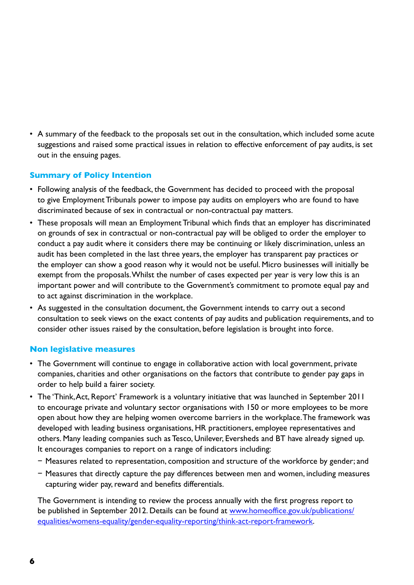• A summary of the feedback to the proposals set out in the consultation, which included some acute suggestions and raised some practical issues in relation to effective enforcement of pay audits, is set out in the ensuing pages.

#### **Summary of Policy Intention**

- Following analysis of the feedback, the Government has decided to proceed with the proposal to give Employment Tribunals power to impose pay audits on employers who are found to have discriminated because of sex in contractual or non-contractual pay matters.
- These proposals will mean an Employment Tribunal which finds that an employer has discriminated on grounds of sex in contractual or non-contractual pay will be obliged to order the employer to conduct a pay audit where it considers there may be continuing or likely discrimination, unless an audit has been completed in the last three years, the employer has transparent pay practices or the employer can show a good reason why it would not be useful. Micro businesses will initially be exempt from the proposals. Whilst the number of cases expected per year is very low this is an important power and will contribute to the Government's commitment to promote equal pay and to act against discrimination in the workplace.
- As suggested in the consultation document, the Government intends to carry out a second consultation to seek views on the exact contents of pay audits and publication requirements, and to consider other issues raised by the consultation, before legislation is brought into force.

#### **Non legislative measures**

- The Government will continue to engage in collaborative action with local government, private companies, charities and other organisations on the factors that contribute to gender pay gaps in order to help build a fairer society.
- The 'Think, Act, Report' Framework is a voluntary initiative that was launched in September 2011 to encourage private and voluntary sector organisations with 150 or more employees to be more open about how they are helping women overcome barriers in the workplace. The framework was developed with leading business organisations, HR practitioners, employee representatives and others. Many leading companies such as Tesco, Unilever, Eversheds and BT have already signed up. It encourages companies to report on a range of indicators including:
	- − Measures related to representation, composition and structure of the workforce by gender; and
	- − Measures that directly capture the pay differences between men and women, including measures capturing wider pay, reward and benefits differentials.

The Government is intending to review the process annually with the first progress report to be published in September 2012. Details can be found at [www.homeoffice.gov.uk/publications/](www.homeoffice.gov.uk/publications/equalities/womens-equality/gender-equality-reporting/think-act-report-framework) [equalities/womens-equality/gender-equality-reporting/think-act-report-framework.](www.homeoffice.gov.uk/publications/equalities/womens-equality/gender-equality-reporting/think-act-report-framework)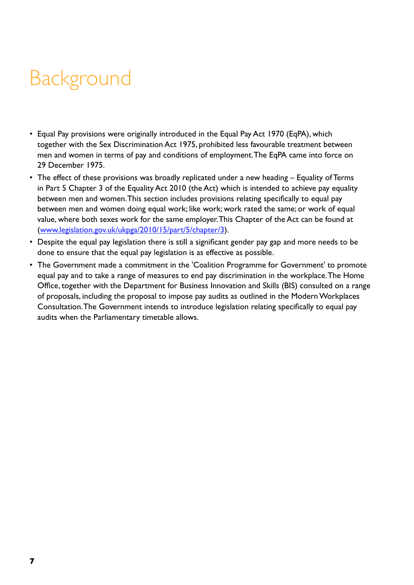# **Background**

- Equal Pay provisions were originally introduced in the Equal Pay Act 1970 (EqPA), which together with the Sex Discrimination Act 1975, prohibited less favourable treatment between men and women in terms of pay and conditions of employment. The EqPA came into force on 29 December 1975.
- The effect of these provisions was broadly replicated under a new heading Equality of Terms in Part 5 Chapter 3 of the Equality Act 2010 (the Act) which is intended to achieve pay equality between men and women. This section includes provisions relating specifically to equal pay between men and women doing equal work; like work; work rated the same; or work of equal value, where both sexes work for the same employer. This Chapter of the Act can be found at ([www.legislation.gov.uk/ukpga/2010/15/part/5/chapter/3\)](www.legislation.gov.uk/ukpga/2010/15/part/5/chapter/3).
- Despite the equal pay legislation there is still a significant gender pay gap and more needs to be done to ensure that the equal pay legislation is as effective as possible.
- The Government made a commitment in the 'Coalition Programme for Government' to promote equal pay and to take a range of measures to end pay discrimination in the workplace. The Home Office, together with the Department for Business Innovation and Skills (BIS) consulted on a range of proposals, including the proposal to impose pay audits as outlined in the Modern Workplaces Consultation. The Government intends to introduce legislation relating specifically to equal pay audits when the Parliamentary timetable allows.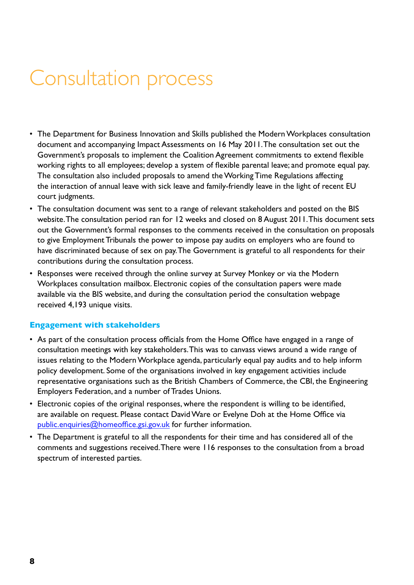### Consultation process

- The Department for Business Innovation and Skills published the Modern Workplaces consultation document and accompanying Impact Assessments on 16 May 2011. The consultation set out the Government's proposals to implement the Coalition Agreement commitments to extend flexible working rights to all employees; develop a system of flexible parental leave; and promote equal pay. The consultation also included proposals to amend the Working Time Regulations affecting the interaction of annual leave with sick leave and family-friendly leave in the light of recent EU court judgments.
- The consultation document was sent to a range of relevant stakeholders and posted on the BIS website. The consultation period ran for 12 weeks and closed on 8 August 2011. This document sets out the Government's formal responses to the comments received in the consultation on proposals to give Employment Tribunals the power to impose pay audits on employers who are found to have discriminated because of sex on pay. The Government is grateful to all respondents for their contributions during the consultation process.
- Responses were received through the online survey at Survey Monkey or via the Modern Workplaces consultation mailbox. Electronic copies of the consultation papers were made available via the BIS website, and during the consultation period the consultation webpage received 4,193 unique visits.

#### **Engagement with stakeholders**

- As part of the consultation process officials from the Home Office have engaged in a range of consultation meetings with key stakeholders. This was to canvass views around a wide range of issues relating to the Modern Workplace agenda, particularly equal pay audits and to help inform policy development. Some of the organisations involved in key engagement activities include representative organisations such as the British Chambers of Commerce, the CBI, the Engineering Employers Federation, and a number of Trades Unions.
- Electronic copies of the original responses, where the respondent is willing to be identified, are available on request. Please contact David Ware or Evelyne Doh at the Home Office via [public.enquiries@homeoffice.gsi.gov.uk](mailto:public.enquiries%40homeoffice.gsi.gov.uk?subject=) for further information.
- The Department is grateful to all the respondents for their time and has considered all of the comments and suggestions received. There were 116 responses to the consultation from a broad spectrum of interested parties.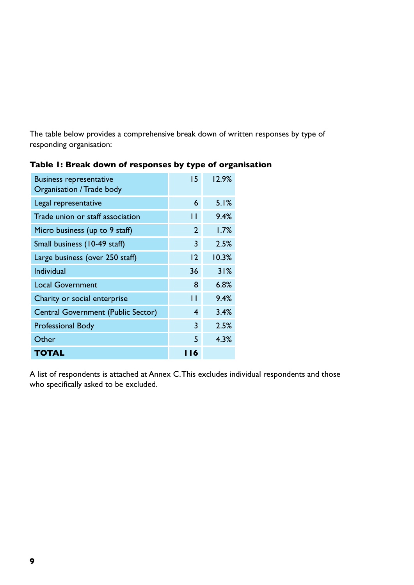The table below provides a comprehensive break down of written responses by type of responding organisation:

| <b>Business representative</b><br>Organisation / Trade body | 15             | 12.9% |
|-------------------------------------------------------------|----------------|-------|
| Legal representative                                        | 6              | 5.1%  |
| Trade union or staff association                            | П              | 9.4%  |
| Micro business (up to 9 staff)                              | 2              | 1.7%  |
| Small business (10-49 staff)                                | 3              | 2.5%  |
| Large business (over 250 staff)                             | $\overline{2}$ | 10.3% |
| <b>Individual</b>                                           | 36             | 31%   |
| <b>Local Government</b>                                     | 8              | 6.8%  |
| Charity or social enterprise                                | П              | 9.4%  |
| Central Government (Public Sector)                          | 4              | 3.4%  |
| <b>Professional Body</b>                                    | 3              | 2.5%  |
| Other                                                       | 5              | 4.3%  |
| <b>TOTAL</b>                                                | I 16           |       |

#### **Table 1: Break down of responses by type of organisation**

A list of respondents is attached at Annex C. This excludes individual respondents and those who specifically asked to be excluded.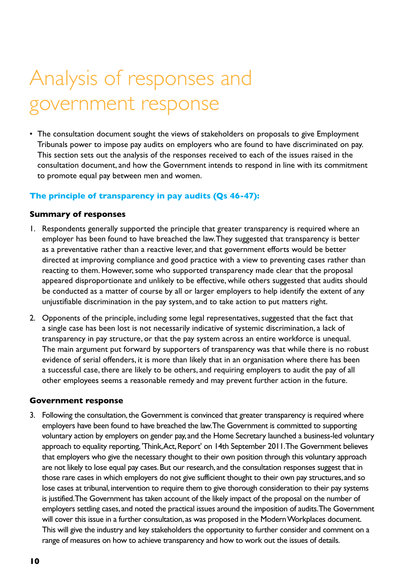### Analysis of responses and government response

• The consultation document sought the views of stakeholders on proposals to give Employment Tribunals power to impose pay audits on employers who are found to have discriminated on pay. This section sets out the analysis of the responses received to each of the issues raised in the consultation document, and how the Government intends to respond in line with its commitment to promote equal pay between men and women.

#### **The principle of transparency in pay audits (Qs 46-47):**

#### **Summary of responses**

- 1. Respondents generally supported the principle that greater transparency is required where an employer has been found to have breached the law. They suggested that transparency is better as a preventative rather than a reactive lever, and that government efforts would be better directed at improving compliance and good practice with a view to preventing cases rather than reacting to them. However, some who supported transparency made clear that the proposal appeared disproportionate and unlikely to be effective, while others suggested that audits should be conducted as a matter of course by all or larger employers to help identify the extent of any unjustifiable discrimination in the pay system, and to take action to put matters right.
- 2. Opponents of the principle, including some legal representatives, suggested that the fact that a single case has been lost is not necessarily indicative of systemic discrimination, a lack of transparency in pay structure, or that the pay system across an entire workforce is unequal. The main argument put forward by supporters of transparency was that while there is no robust evidence of serial offenders, it is more than likely that in an organisation where there has been a successful case, there are likely to be others, and requiring employers to audit the pay of all other employees seems a reasonable remedy and may prevent further action in the future.

#### **Government response**

3. Following the consultation, the Government is convinced that greater transparency is required where employers have been found to have breached the law. The Government is committed to supporting voluntary action by employers on gender pay, and the Home Secretary launched a business-led voluntary approach to equality reporting, 'Think, Act, Report' on 14th September 2011. The Government believes that employers who give the necessary thought to their own position through this voluntary approach are not likely to lose equal pay cases. But our research, and the consultation responses suggest that in those rare cases in which employers do not give sufficient thought to their own pay structures, and so lose cases at tribunal, intervention to require them to give thorough consideration to their pay systems is justified. The Government has taken account of the likely impact of the proposal on the number of employers settling cases, and noted the practical issues around the imposition of audits. The Government will cover this issue in a further consultation, as was proposed in the Modern Workplaces document. This will give the industry and key stakeholders the opportunity to further consider and comment on a range of measures on how to achieve transparency and how to work out the issues of details.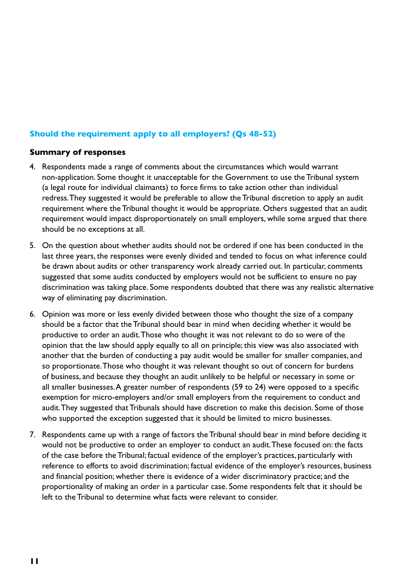#### **Should the requirement apply to all employers? (Qs 48-52)**

#### **Summary of responses**

- 4. Respondents made a range of comments about the circumstances which would warrant non-application. Some thought it unacceptable for the Government to use the Tribunal system (a legal route for individual claimants) to force firms to take action other than individual redress. They suggested it would be preferable to allow the Tribunal discretion to apply an audit requirement where the Tribunal thought it would be appropriate. Others suggested that an audit requirement would impact disproportionately on small employers, while some argued that there should be no exceptions at all.
- 5. On the question about whether audits should not be ordered if one has been conducted in the last three years, the responses were evenly divided and tended to focus on what inference could be drawn about audits or other transparency work already carried out. In particular, comments suggested that some audits conducted by employers would not be sufficient to ensure no pay discrimination was taking place. Some respondents doubted that there was any realistic alternative way of eliminating pay discrimination.
- 6. Opinion was more or less evenly divided between those who thought the size of a company should be a factor that the Tribunal should bear in mind when deciding whether it would be productive to order an audit. Those who thought it was not relevant to do so were of the opinion that the law should apply equally to all on principle; this view was also associated with another that the burden of conducting a pay audit would be smaller for smaller companies, and so proportionate. Those who thought it was relevant thought so out of concern for burdens of business, and because they thought an audit unlikely to be helpful or necessary in some or all smaller businesses. A greater number of respondents (59 to 24) were opposed to a specific exemption for micro-employers and/or small employers from the requirement to conduct and audit. They suggested that Tribunals should have discretion to make this decision. Some of those who supported the exception suggested that it should be limited to micro businesses.
- 7. Respondents came up with a range of factors the Tribunal should bear in mind before deciding it would not be productive to order an employer to conduct an audit. These focused on: the facts of the case before the Tribunal; factual evidence of the employer's practices, particularly with reference to efforts to avoid discrimination; factual evidence of the employer's resources, business and financial position; whether there is evidence of a wider discriminatory practice; and the proportionality of making an order in a particular case. Some respondents felt that it should be left to the Tribunal to determine what facts were relevant to consider.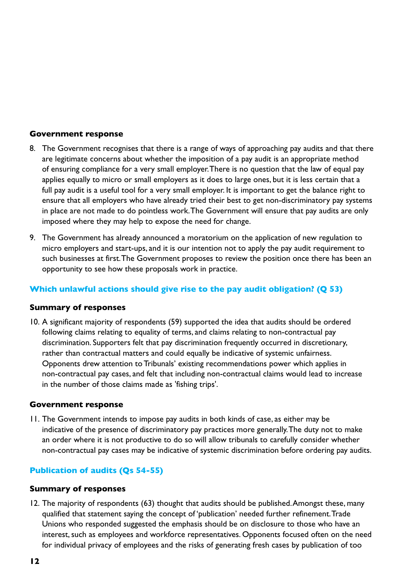#### **Government response**

- 8. The Government recognises that there is a range of ways of approaching pay audits and that there are legitimate concerns about whether the imposition of a pay audit is an appropriate method of ensuring compliance for a very small employer. There is no question that the law of equal pay applies equally to micro or small employers as it does to large ones, but it is less certain that a full pay audit is a useful tool for a very small employer. It is important to get the balance right to ensure that all employers who have already tried their best to get non-discriminatory pay systems in place are not made to do pointless work. The Government will ensure that pay audits are only imposed where they may help to expose the need for change.
- 9. The Government has already announced a moratorium on the application of new regulation to micro employers and start-ups, and it is our intention not to apply the pay audit requirement to such businesses at first. The Government proposes to review the position once there has been an opportunity to see how these proposals work in practice.

#### **Which unlawful actions should give rise to the pay audit obligation? (Q 53)**

#### **Summary of responses**

10. A significant majority of respondents (59) supported the idea that audits should be ordered following claims relating to equality of terms, and claims relating to non-contractual pay discrimination. Supporters felt that pay discrimination frequently occurred in discretionary, rather than contractual matters and could equally be indicative of systemic unfairness. Opponents drew attention to Tribunals' existing recommendations power which applies in non-contractual pay cases, and felt that including non-contractual claims would lead to increase in the number of those claims made as 'fishing trips'.

#### **Government response**

11. The Government intends to impose pay audits in both kinds of case, as either may be indicative of the presence of discriminatory pay practices more generally. The duty not to make an order where it is not productive to do so will allow tribunals to carefully consider whether non-contractual pay cases may be indicative of systemic discrimination before ordering pay audits.

#### **Publication of audits (Qs 54-55)**

#### **Summary of responses**

12. The majority of respondents (63) thought that audits should be published. Amongst these, many qualified that statement saying the concept of 'publication' needed further refinement. Trade Unions who responded suggested the emphasis should be on disclosure to those who have an interest, such as employees and workforce representatives. Opponents focused often on the need for individual privacy of employees and the risks of generating fresh cases by publication of too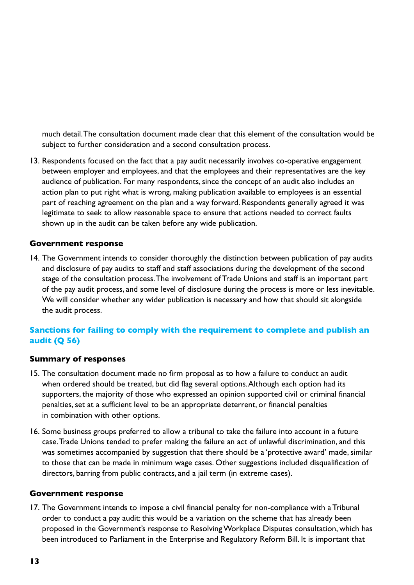much detail. The consultation document made clear that this element of the consultation would be subject to further consideration and a second consultation process.

13. Respondents focused on the fact that a pay audit necessarily involves co-operative engagement between employer and employees, and that the employees and their representatives are the key audience of publication. For many respondents, since the concept of an audit also includes an action plan to put right what is wrong, making publication available to employees is an essential part of reaching agreement on the plan and a way forward. Respondents generally agreed it was legitimate to seek to allow reasonable space to ensure that actions needed to correct faults shown up in the audit can be taken before any wide publication.

#### **Government response**

14. The Government intends to consider thoroughly the distinction between publication of pay audits and disclosure of pay audits to staff and staff associations during the development of the second stage of the consultation process. The involvement of Trade Unions and staff is an important part of the pay audit process, and some level of disclosure during the process is more or less inevitable. We will consider whether any wider publication is necessary and how that should sit alongside the audit process.

#### **Sanctions for failing to comply with the requirement to complete and publish an audit (Q 56)**

#### **Summary of responses**

- 15. The consultation document made no firm proposal as to how a failure to conduct an audit when ordered should be treated, but did flag several options. Although each option had its supporters, the majority of those who expressed an opinion supported civil or criminal financial penalties, set at a sufficient level to be an appropriate deterrent, or financial penalties in combination with other options.
- 16. Some business groups preferred to allow a tribunal to take the failure into account in a future case. Trade Unions tended to prefer making the failure an act of unlawful discrimination, and this was sometimes accompanied by suggestion that there should be a 'protective award' made, similar to those that can be made in minimum wage cases. Other suggestions included disqualification of directors, barring from public contracts, and a jail term (in extreme cases).

#### **Government response**

17. The Government intends to impose a civil financial penalty for non-compliance with a Tribunal order to conduct a pay audit: this would be a variation on the scheme that has already been proposed in the Government's response to Resolving Workplace Disputes consultation, which has been introduced to Parliament in the Enterprise and Regulatory Reform Bill. It is important that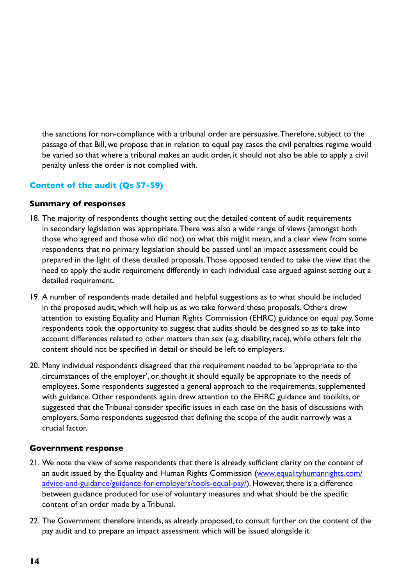the sanctions for non-compliance with a tribunal order are persuasive. Therefore, subject to the passage of that Bill, we propose that in relation to equal pay cases the civil penalties regime would be varied so that where a tribunal makes an audit order, it should not also be able to apply a civil penalty unless the order is not complied with.

#### **Content of the audit (Qs 57-59)**

#### **Summary of responses**

- 18. The majority of respondents thought setting out the detailed content of audit requirements in secondary legislation was appropriate. There was also a wide range of views (amongst both those who agreed and those who did not) on what this might mean, and a clear view from some respondents that no primary legislation should be passed until an impact assessment could be prepared in the light of these detailed proposals. Those opposed tended to take the view that the need to apply the audit requirement differently in each individual case argued against setting out a detailed requirement.
- 19. A number of respondents made detailed and helpful suggestions as to what should be included in the proposed audit, which will help us as we take forward these proposals. Others drew attention to existing Equality and Human Rights Commission (EHRC) guidance on equal pay. Some respondents took the opportunity to suggest that audits should be designed so as to take into account differences related to other matters than sex (e.g. disability, race), while others felt the content should not be specified in detail or should be left to employers.
- 20. Many individual respondents disagreed that the requirement needed to be 'appropriate to the circumstances of the employer', or thought it should equally be appropriate to the needs of employees. Some respondents suggested a general approach to the requirements, supplemented with guidance. Other respondents again drew attention to the EHRC guidance and toolkits, or suggested that the Tribunal consider specific issues in each case on the basis of discussions with employers. Some respondents suggested that defining the scope of the audit narrowly was a crucial factor.

#### **Government response**

- 21. We note the view of some respondents that there is already sufficient clarity on the content of an audit issued by the Equality and Human Rights Commission ([www.equalityhumanrights.com/](www.equalityhumanrights.com/advice-and-guidance/guidance-for-employers/tools-equal-pay/) [advice-and-guidance/guidance-for-employers/tools-equal-pay/\)](www.equalityhumanrights.com/advice-and-guidance/guidance-for-employers/tools-equal-pay/). However, there is a difference between guidance produced for use of voluntary measures and what should be the specific content of an order made by a Tribunal.
- 22. The Government therefore intends, as already proposed, to consult further on the content of the pay audit and to prepare an impact assessment which will be issued alongside it.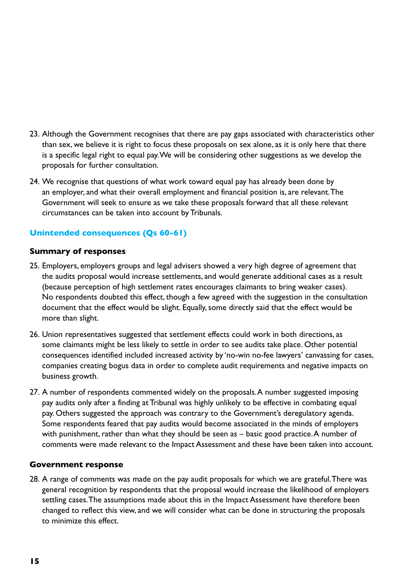- 23. Although the Government recognises that there are pay gaps associated with characteristics other than sex, we believe it is right to focus these proposals on sex alone, as it is only here that there is a specific legal right to equal pay. We will be considering other suggestions as we develop the proposals for further consultation.
- 24. We recognise that questions of what work toward equal pay has already been done by an employer, and what their overall employment and financial position is, are relevant. The Government will seek to ensure as we take these proposals forward that all these relevant circumstances can be taken into account by Tribunals.

#### **Unintended consequences (Qs 60-61)**

#### **Summary of responses**

- 25. Employers, employers groups and legal advisers showed a very high degree of agreement that the audits proposal would increase settlements, and would generate additional cases as a result (because perception of high settlement rates encourages claimants to bring weaker cases). No respondents doubted this effect, though a few agreed with the suggestion in the consultation document that the effect would be slight. Equally, some directly said that the effect would be more than slight.
- 26. Union representatives suggested that settlement effects could work in both directions, as some claimants might be less likely to settle in order to see audits take place. Other potential consequences identified included increased activity by 'no-win no-fee lawyers' canvassing for cases, companies creating bogus data in order to complete audit requirements and negative impacts on business growth.
- 27. A number of respondents commented widely on the proposals. A number suggested imposing pay audits only after a finding at Tribunal was highly unlikely to be effective in combating equal pay. Others suggested the approach was contrary to the Government's deregulatory agenda. Some respondents feared that pay audits would become associated in the minds of employers with punishment, rather than what they should be seen as – basic good practice. A number of comments were made relevant to the Impact Assessment and these have been taken into account.

#### **Government response**

28. A range of comments was made on the pay audit proposals for which we are grateful. There was general recognition by respondents that the proposal would increase the likelihood of employers settling cases. The assumptions made about this in the Impact Assessment have therefore been changed to reflect this view, and we will consider what can be done in structuring the proposals to minimize this effect.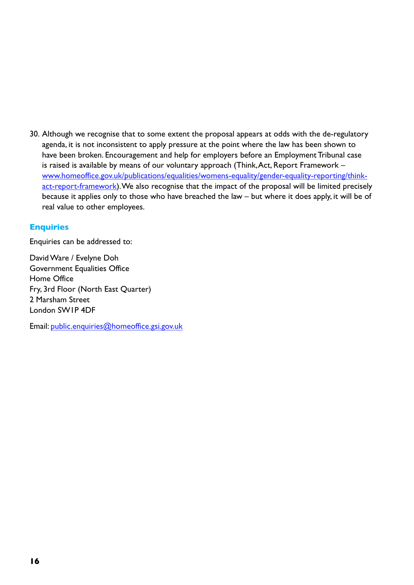30. Although we recognise that to some extent the proposal appears at odds with the de-regulatory agenda, it is not inconsistent to apply pressure at the point where the law has been shown to have been broken. Encouragement and help for employers before an Employment Tribunal case is raised is available by means of our voluntary approach (Think, Act, Report Framework – [www.homeoffice.gov.uk/publications/equalities/womens-equality/gender-equality-reporting/think](www.homeoffice.gov.uk/publications/equalities/womens-equality/gender-equality-reporting/think-act-report-framework)[act-report-framework\)](www.homeoffice.gov.uk/publications/equalities/womens-equality/gender-equality-reporting/think-act-report-framework). We also recognise that the impact of the proposal will be limited precisely because it applies only to those who have breached the law – but where it does apply, it will be of real value to other employees.

#### **Enquiries**

Enquiries can be addressed to:

David Ware / Evelyne Doh Government Equalities Office Home Office Fry, 3rd Floor (North East Quarter) 2 Marsham Street London SW1P 4DF

Email: [public.enquiries@homeoffice.gsi.gov.uk](mailto:public.enquiries%40homeoffice.gsi.gov.uk?subject=)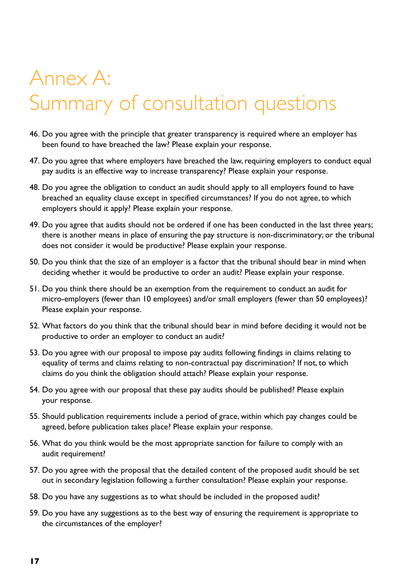### Annex A: Summary of consultation questions

- 46. Do you agree with the principle that greater transparency is required where an employer has been found to have breached the law? Please explain your response.
- 47. Do you agree that where employers have breached the law, requiring employers to conduct equal pay audits is an effective way to increase transparency? Please explain your response.
- 48. Do you agree the obligation to conduct an audit should apply to all employers found to have breached an equality clause except in specified circumstances? If you do not agree, to which employers should it apply? Please explain your response.
- 49. Do you agree that audits should not be ordered if one has been conducted in the last three years; there is another means in place of ensuring the pay structure is non-discriminatory; or the tribunal does not consider it would be productive? Please explain your response.
- 50. Do you think that the size of an employer is a factor that the tribunal should bear in mind when deciding whether it would be productive to order an audit? Please explain your response.
- 51. Do you think there should be an exemption from the requirement to conduct an audit for micro-employers (fewer than 10 employees) and/or small employers (fewer than 50 employees)? Please explain your response.
- 52. What factors do you think that the tribunal should bear in mind before deciding it would not be productive to order an employer to conduct an audit?
- 53. Do you agree with our proposal to impose pay audits following findings in claims relating to equality of terms and claims relating to non-contractual pay discrimination? If not, to which claims do you think the obligation should attach? Please explain your response.
- 54. Do you agree with our proposal that these pay audits should be published? Please explain your response.
- 55. Should publication requirements include a period of grace, within which pay changes could be agreed, before publication takes place? Please explain your response.
- 56. What do you think would be the most appropriate sanction for failure to comply with an audit requirement?
- 57. Do you agree with the proposal that the detailed content of the proposed audit should be set out in secondary legislation following a further consultation? Please explain your response.
- 58. Do you have any suggestions as to what should be included in the proposed audit?
- 59. Do you have any suggestions as to the best way of ensuring the requirement is appropriate to the circumstances of the employer?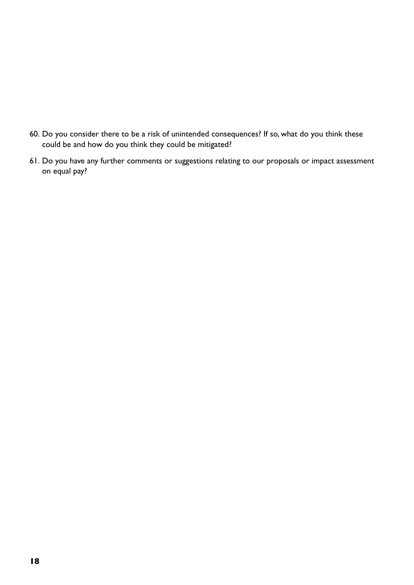- 60. Do you consider there to be a risk of unintended consequences? If so, what do you think these could be and how do you think they could be mitigated?
- 61. Do you have any further comments or suggestions relating to our proposals or impact assessment on equal pay?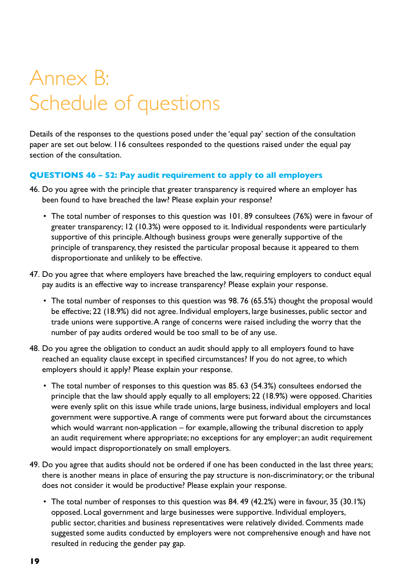### Annex B: Schedule of questions

Details of the responses to the questions posed under the 'equal pay' section of the consultation paper are set out below. 116 consultees responded to the questions raised under the equal pay section of the consultation.

#### **QUESTIONS 46 – 52: Pay audit requirement to apply to all employers**

- 46. Do you agree with the principle that greater transparency is required where an employer has been found to have breached the law? Please explain your response?
	- The total number of responses to this question was 101.89 consultees (76%) were in favour of greater transparency; 12 (10.3%) were opposed to it. Individual respondents were particularly supportive of this principle. Although business groups were generally supportive of the principle of transparency, they resisted the particular proposal because it appeared to them disproportionate and unlikely to be effective.
- 47. Do you agree that where employers have breached the law, requiring employers to conduct equal pay audits is an effective way to increase transparency? Please explain your response.
	- The total number of responses to this question was 98.76 (65.5%) thought the proposal would be effective; 22 (18.9%) did not agree. Individual employers, large businesses, public sector and trade unions were supportive. A range of concerns were raised including the worry that the number of pay audits ordered would be too small to be of any use.
- 48. Do you agree the obligation to conduct an audit should apply to all employers found to have reached an equality clause except in specified circumstances? If you do not agree, to which employers should it apply? Please explain your response.
	- The total number of responses to this question was 85.63 (54.3%) consultees endorsed the principle that the law should apply equally to all employers; 22 (18.9%) were opposed. Charities were evenly split on this issue while trade unions, large business, individual employers and local government were supportive. A range of comments were put forward about the circumstances which would warrant non-application – for example, allowing the tribunal discretion to apply an audit requirement where appropriate; no exceptions for any employer; an audit requirement would impact disproportionately on small employers.
- 49. Do you agree that audits should not be ordered if one has been conducted in the last three years; there is another means in place of ensuring the pay structure is non-discriminatory; or the tribunal does not consider it would be productive? Please explain your response.
	- The total number of responses to this question was 84. 49 (42.2%) were in favour, 35 (30.1%) opposed. Local government and large businesses were supportive. Individual employers, public sector, charities and business representatives were relatively divided. Comments made suggested some audits conducted by employers were not comprehensive enough and have not resulted in reducing the gender pay gap.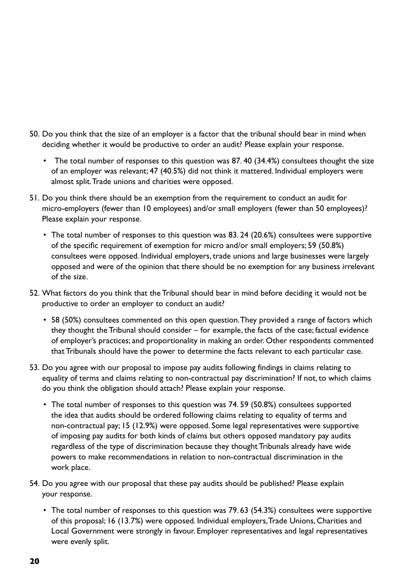- 50. Do you think that the size of an employer is a factor that the tribunal should bear in mind when deciding whether it would be productive to order an audit? Please explain your response.
	- The total number of responses to this question was 87.40 (34.4%) consultees thought the size of an employer was relevant; 47 (40.5%) did not think it mattered. Individual employers were almost split. Trade unions and charities were opposed.
- 51. Do you think there should be an exemption from the requirement to conduct an audit for micro-employers (fewer than 10 employees) and/or small employers (fewer than 50 employees)? Please explain your response.
	- The total number of responses to this question was 83.24 (20.6%) consultees were supportive of the specific requirement of exemption for micro and/or small employers; 59 (50.8%) consultees were opposed. Individual employers, trade unions and large businesses were largely opposed and were of the opinion that there should be no exemption for any business irrelevant of the size.
- 52. What factors do you think that the Tribunal should bear in mind before deciding it would not be productive to order an employer to conduct an audit?
	- 58 (50%) consultees commented on this open question. They provided a range of factors which they thought the Tribunal should consider – for example, the facts of the case; factual evidence of employer's practices; and proportionality in making an order. Other respondents commented that Tribunals should have the power to determine the facts relevant to each particular case.
- 53. Do you agree with our proposal to impose pay audits following findings in claims relating to equality of terms and claims relating to non-contractual pay discrimination? If not, to which claims do you think the obligation should attach? Please explain your response.
	- The total number of responses to this question was 74.59 (50.8%) consultees supported the idea that audits should be ordered following claims relating to equality of terms and non-contractual pay; 15 (12.9%) were opposed. Some legal representatives were supportive of imposing pay audits for both kinds of claims but others opposed mandatory pay audits regardless of the type of discrimination because they thought Tribunals already have wide powers to make recommendations in relation to non-contractual discrimination in the work place.
- 54. Do you agree with our proposal that these pay audits should be published? Please explain your response.
	- The total number of responses to this question was 79.63 (54.3%) consultees were supportive of this proposal; 16 (13.7%) were opposed. Individual employers, Trade Unions, Charities and Local Government were strongly in favour. Employer representatives and legal representatives were evenly split.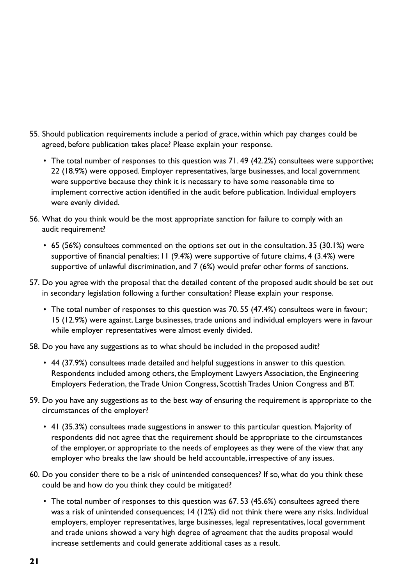- 55. Should publication requirements include a period of grace, within which pay changes could be agreed, before publication takes place? Please explain your response.
	- The total number of responses to this question was 71.49 (42.2%) consultees were supportive; 22 (18.9%) were opposed. Employer representatives, large businesses, and local government were supportive because they think it is necessary to have some reasonable time to implement corrective action identified in the audit before publication. Individual employers were evenly divided.
- 56. What do you think would be the most appropriate sanction for failure to comply with an audit requirement?
	- 65 (56%) consultees commented on the options set out in the consultation. 35 (30.1%) were supportive of financial penalties; 11 (9.4%) were supportive of future claims, 4 (3.4%) were supportive of unlawful discrimination, and 7 (6%) would prefer other forms of sanctions.
- 57. Do you agree with the proposal that the detailed content of the proposed audit should be set out in secondary legislation following a further consultation? Please explain your response.
	- The total number of responses to this question was 70, 55 (47.4%) consultees were in favour; 15 (12.9%) were against. Large businesses, trade unions and individual employers were in favour while employer representatives were almost evenly divided.
- 58. Do you have any suggestions as to what should be included in the proposed audit?
	- • 44 (37.9%) consultees made detailed and helpful suggestions in answer to this question. Respondents included among others, the Employment Lawyers Association, the Engineering Employers Federation, the Trade Union Congress, Scottish Trades Union Congress and BT.
- 59. Do you have any suggestions as to the best way of ensuring the requirement is appropriate to the circumstances of the employer?
	- 41 (35.3%) consultees made suggestions in answer to this particular question. Majority of respondents did not agree that the requirement should be appropriate to the circumstances of the employer, or appropriate to the needs of employees as they were of the view that any employer who breaks the law should be held accountable, irrespective of any issues.
- 60. Do you consider there to be a risk of unintended consequences? If so, what do you think these could be and how do you think they could be mitigated?
	- The total number of responses to this question was 67.53 (45.6%) consultees agreed there was a risk of unintended consequences; 14 (12%) did not think there were any risks. Individual employers, employer representatives, large businesses, legal representatives, local government and trade unions showed a very high degree of agreement that the audits proposal would increase settlements and could generate additional cases as a result.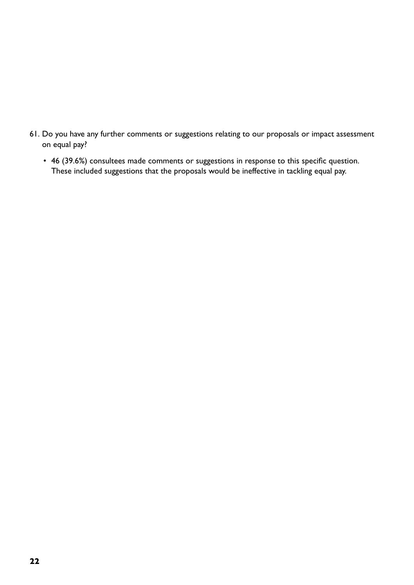- 61. Do you have any further comments or suggestions relating to our proposals or impact assessment on equal pay?
	- 46 (39.6%) consultees made comments or suggestions in response to this specific question. These included suggestions that the proposals would be ineffective in tackling equal pay.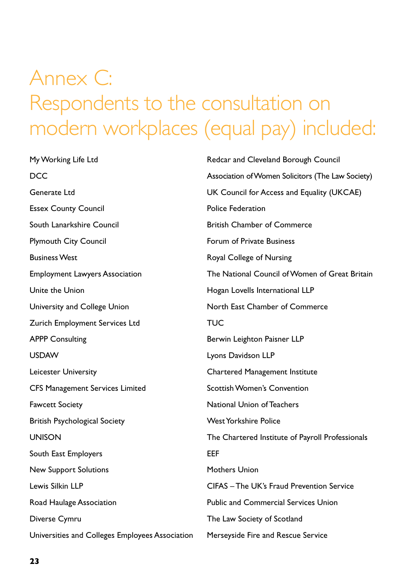# Annex C: Respondents to the consultation on modern workplaces (equal pay) included:

My Working Life Ltd **DCC** Generate Ltd Essex County Council South Lanarkshire Council Plymouth City Council Business West Employment Lawyers Association Unite the Union University and College Union Zurich Employment Services Ltd APPP Consulting **LISDAW** Leicester University CFS Management Services Limited Fawcett Society British Psychological Society UNISON South East Employers New Support Solutions Lewis Silkin LLP Road Haulage Association Diverse Cymru Universities and Colleges Employees Association

Redcar and Cleveland Borough Council Association of Women Solicitors (The Law Society) UK Council for Access and Equality (UKCAE) Police Federation British Chamber of Commerce Forum of Private Business Royal College of Nursing The National Council of Women of Great Britain Hogan Lovells International LLP North East Chamber of Commerce **TUC** Berwin Leighton Paisner LLP Lyons Davidson LLP Chartered Management Institute Scottish Women's Convention National Union of Teachers West Yorkshire Police The Chartered Institute of Payroll Professionals EEF Mothers Union CIFAS – The UK's Fraud Prevention Service Public and Commercial Services Union The Law Society of Scotland Merseyside Fire and Rescue Service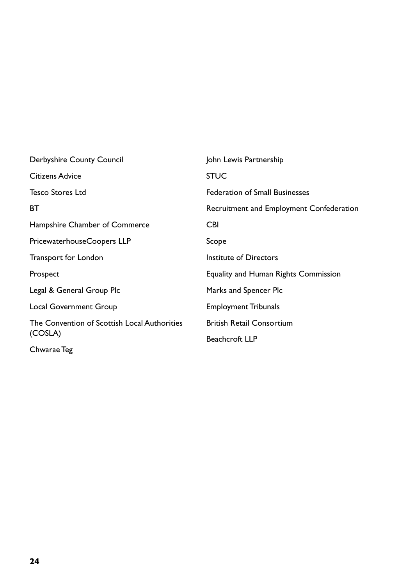| Derbyshire County Council                               | John Lewis Partnership                   |
|---------------------------------------------------------|------------------------------------------|
| <b>Citizens Advice</b>                                  | <b>STUC</b>                              |
| <b>Tesco Stores Ltd</b>                                 | <b>Federation of Small Businesses</b>    |
| ВT                                                      | Recruitment and Employment Confederation |
| Hampshire Chamber of Commerce                           | <b>CBI</b>                               |
| PricewaterhouseCoopers LLP                              | Scope                                    |
| Transport for London                                    | Institute of Directors                   |
| Prospect                                                | Equality and Human Rights Commission     |
| Legal & General Group Plc                               | Marks and Spencer Plc                    |
| <b>Local Government Group</b>                           | <b>Employment Tribunals</b>              |
| The Convention of Scottish Local Authorities<br>(COSLA) | <b>British Retail Consortium</b>         |
|                                                         | <b>Beachcroft LLP</b>                    |
| Chwarae Teg                                             |                                          |